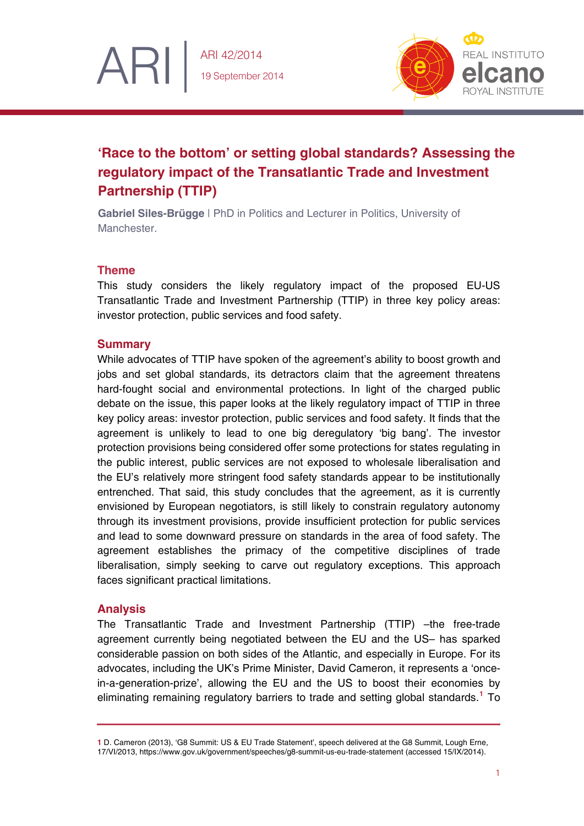

# **'Race to the bottom' or setting global standards? Assessing the regulatory impact of the Transatlantic Trade and Investment Partnership (TTIP)**

**Gabriel Siles-Brügge** | PhD in Politics and Lecturer in Politics, University of Manchester.

## **Theme**

ARI

This study considers the likely regulatory impact of the proposed EU-US Transatlantic Trade and Investment Partnership (TTIP) in three key policy areas: investor protection, public services and food safety.

## **Summary**

While advocates of TTIP have spoken of the agreement's ability to boost growth and jobs and set global standards, its detractors claim that the agreement threatens hard-fought social and environmental protections. In light of the charged public debate on the issue, this paper looks at the likely regulatory impact of TTIP in three key policy areas: investor protection, public services and food safety. It finds that the agreement is unlikely to lead to one big deregulatory 'big bang'. The investor protection provisions being considered offer some protections for states regulating in the public interest, public services are not exposed to wholesale liberalisation and the EU's relatively more stringent food safety standards appear to be institutionally entrenched. That said, this study concludes that the agreement, as it is currently envisioned by European negotiators, is still likely to constrain regulatory autonomy through its investment provisions, provide insufficient protection for public services and lead to some downward pressure on standards in the area of food safety. The agreement establishes the primacy of the competitive disciplines of trade liberalisation, simply seeking to carve out regulatory exceptions. This approach faces significant practical limitations.

## **Analysis**

The Transatlantic Trade and Investment Partnership (TTIP) –the free-trade agreement currently being negotiated between the EU and the US– has sparked considerable passion on both sides of the Atlantic, and especially in Europe. For its advocates, including the UK's Prime Minister, David Cameron, it represents a 'oncein-a-generation-prize', allowing the EU and the US to boost their economies by eliminating remaining regulatory barriers to trade and setting global standards.**[1](#page-0-0)** To

<span id="page-0-0"></span>**<sup>1</sup>** D. Cameron (2013), 'G8 Summit: US & EU Trade Statement', speech delivered at the G8 Summit, Lough Erne, 17/VI/2013,<https://www.gov.uk/government/speeches/g8-summit-us-eu-trade-statement> (accessed 15/IX/2014).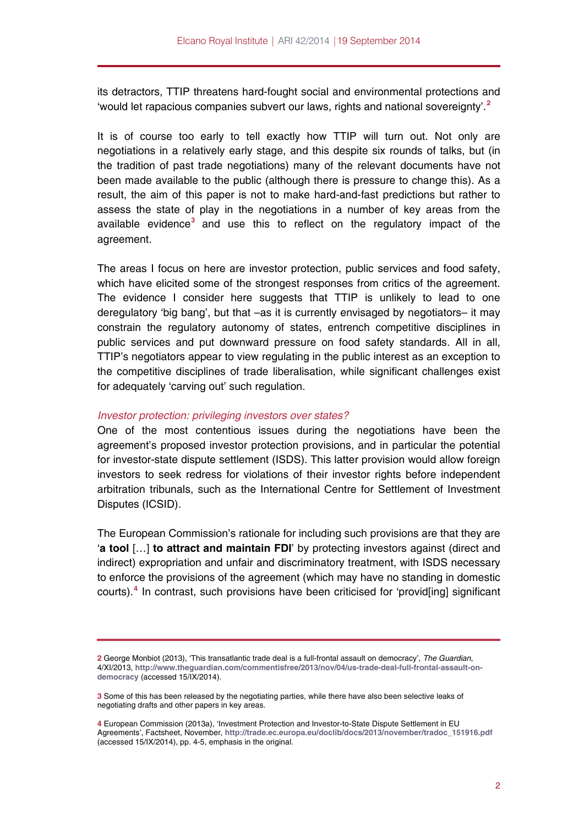its detractors, TTIP threatens hard-fought social and environmental protections and 'would let rapacious companies subvert our laws, rights and national sovereignty'.**[2](#page-1-0)**

It is of course too early to tell exactly how TTIP will turn out. Not only are negotiations in a relatively early stage, and this despite six rounds of talks, but (in the tradition of past trade negotiations) many of the relevant documents have not been made available to the public (although there is pressure to change this). As a result, the aim of this paper is not to make hard-and-fast predictions but rather to assess the state of play in the negotiations in a number of key areas from the available evidence**[3](#page-1-1)** and use this to reflect on the regulatory impact of the agreement.

The areas I focus on here are investor protection, public services and food safety, which have elicited some of the strongest responses from critics of the agreement. The evidence I consider here suggests that TTIP is unlikely to lead to one deregulatory 'big bang', but that –as it is currently envisaged by negotiators– it may constrain the regulatory autonomy of states, entrench competitive disciplines in public services and put downward pressure on food safety standards. All in all, TTIP's negotiators appear to view regulating in the public interest as an exception to the competitive disciplines of trade liberalisation, while significant challenges exist for adequately 'carving out' such regulation.

#### *Investor protection: privileging investors over states?*

One of the most contentious issues during the negotiations have been the agreement's proposed investor protection provisions, and in particular the potential for investor-state dispute settlement (ISDS). This latter provision would allow foreign investors to seek redress for violations of their investor rights before independent arbitration tribunals, such as the International Centre for Settlement of Investment Disputes (ICSID).

The European Commission's rationale for including such provisions are that they are '**a tool** […] **to attract and maintain FDI**' by protecting investors against (direct and indirect) expropriation and unfair and discriminatory treatment, with ISDS necessary to enforce the provisions of the agreement (which may have no standing in domestic courts).**[4](#page-1-2)** In contrast, such provisions have been criticised for 'provid[ing] significant

<span id="page-1-0"></span>**<sup>2</sup>** George Monbiot (2013), 'This transatlantic trade deal is a full-frontal assault on democracy', *The Guardian*, 4/XI/2013, **[http://www.theguardian.com/commentisfree/2013/nov/04/us-trade-deal-full-frontal-assault-on](http://www.theguardian.com/commentisfree/2013/nov/04/us-trade-deal-full-frontal-assault-on-democracy)[democracy](http://www.theguardian.com/commentisfree/2013/nov/04/us-trade-deal-full-frontal-assault-on-democracy)** (accessed 15/IX/2014).

<span id="page-1-1"></span>**<sup>3</sup>** Some of this has been released by the negotiating parties, while there have also been selective leaks of negotiating drafts and other papers in key areas.

<span id="page-1-2"></span>**<sup>4</sup>** European Commission (2013a), 'Investment Protection and Investor-to-State Dispute Settlement in EU Agreements', Factsheet, November, **[http://trade.ec.europa.eu/doclib/docs/2013/november/tradoc\\_151916.pdf](http://trade.ec.europa.eu/doclib/docs/2013/november/tradoc_151916.pdf)** (accessed 15/IX/2014), pp. 4-5, emphasis in the original.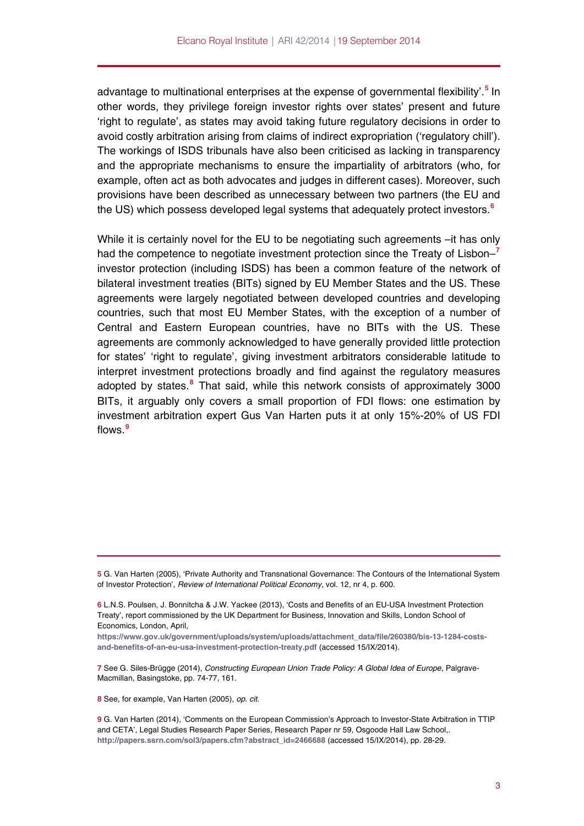advantage to multinational enterprises at the expense of governmental flexibility'.**[5](#page-2-0)** In other words, they privilege foreign investor rights over states' present and future 'right to regulate', as states may avoid taking future regulatory decisions in order to avoid costly arbitration arising from claims of indirect expropriation ('regulatory chill'). The workings of ISDS tribunals have also been criticised as lacking in transparency and the appropriate mechanisms to ensure the impartiality of arbitrators (who, for example, often act as both advocates and judges in different cases). Moreover, such provisions have been described as unnecessary between two partners (the EU and the US) which possess developed legal systems that adequately protect investors.**[6](#page-2-1)**

While it is certainly novel for the EU to be negotiating such agreements –it has only had the competence to negotiate investment protection since the Treaty of Lisbon–**[7](#page-2-2)** investor protection (including ISDS) has been a common feature of the network of bilateral investment treaties (BITs) signed by EU Member States and the US. These agreements were largely negotiated between developed countries and developing countries, such that most EU Member States, with the exception of a number of Central and Eastern European countries, have no BITs with the US. These agreements are commonly acknowledged to have generally provided little protection for states' 'right to regulate', giving investment arbitrators considerable latitude to interpret investment protections broadly and find against the regulatory measures adopted by states.**[8](#page-2-3)** That said, while this network consists of approximately 3000 BITs, it arguably only covers a small proportion of FDI flows: one estimation by investment arbitration expert Gus Van Harten puts it at only 15%-20% of US FDI flows.**[9](#page-2-4)**

<span id="page-2-2"></span>**7** See G. Siles-Brügge (2014), *Constructing European Union Trade Policy: A Global Idea of Europe*, Palgrave-Macmillan, Basingstoke, pp. 74-77, 161.

<span id="page-2-3"></span>**8** See, for example, Van Harten (2005), *op. cit*.

<span id="page-2-0"></span>**<sup>5</sup>** G. Van Harten (2005), 'Private Authority and Transnational Governance: The Contours of the International System of Investor Protection', *Review of International Political Economy*, vol. 12, nr 4, p. 600.

<span id="page-2-1"></span>**<sup>6</sup>** L.N.S. Poulsen, J. Bonnitcha & J.W. Yackee (2013), 'Costs and Benefits of an EU-USA Investment Protection Treaty', report commissioned by the UK Department for Business, Innovation and Skills, London School of Economics, London, April,

[https://www.gov.uk/government/uploads/system/uploads/attachment\\_data/file/260380/bis-13-1284-costs](https://www.gov.uk/government/uploads/system/uploads/attachment_data/file/260380/bis-13-1284-costs-and-benefits-of-an-eu-usa-investment-protection-treaty.pdf)**[and-benefits-of-an-eu-usa-investment-protection-treaty.pdf](https://www.gov.uk/government/uploads/system/uploads/attachment_data/file/260380/bis-13-1284-costs-and-benefits-of-an-eu-usa-investment-protection-treaty.pdf)** (accessed 15/IX/2014).

<span id="page-2-4"></span>**<sup>9</sup>** G. Van Harten (2014), 'Comments on the European Commission's Approach to Investor-State Arbitration in TTIP and CETA', Legal Studies Research Paper Series, Research Paper nr 59, Osgoode Hall Law School,. **[http://papers.ssrn.com/sol3/papers.cfm?abstract\\_id=2466688](http://papers.ssrn.com/sol3/papers.cfm?abstract_id=2466688)** (accessed 15/IX/2014), pp. 28-29.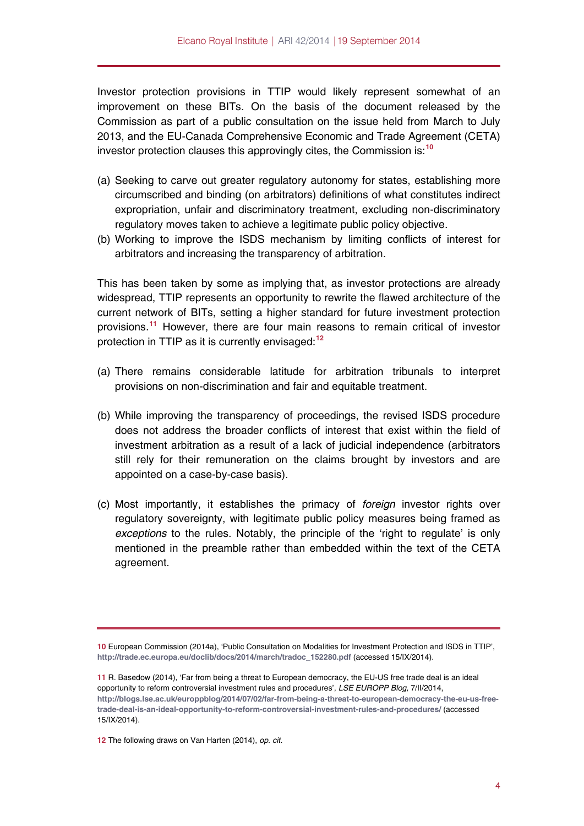Investor protection provisions in TTIP would likely represent somewhat of an improvement on these BITs. On the basis of the document released by the Commission as part of a public consultation on the issue held from March to July 2013, and the EU-Canada Comprehensive Economic and Trade Agreement (CETA) investor protection clauses this approvingly cites, the Commission is:**[10](#page-3-0)**

- (a) Seeking to carve out greater regulatory autonomy for states, establishing more circumscribed and binding (on arbitrators) definitions of what constitutes indirect expropriation, unfair and discriminatory treatment, excluding non-discriminatory regulatory moves taken to achieve a legitimate public policy objective.
- (b) Working to improve the ISDS mechanism by limiting conflicts of interest for arbitrators and increasing the transparency of arbitration.

This has been taken by some as implying that, as investor protections are already widespread, TTIP represents an opportunity to rewrite the flawed architecture of the current network of BITs, setting a higher standard for future investment protection provisions.**[11](#page-3-1)** However, there are four main reasons to remain critical of investor protection in TTIP as it is currently envisaged:**[12](#page-3-2)**

- (a) There remains considerable latitude for arbitration tribunals to interpret provisions on non-discrimination and fair and equitable treatment.
- (b) While improving the transparency of proceedings, the revised ISDS procedure does not address the broader conflicts of interest that exist within the field of investment arbitration as a result of a lack of judicial independence (arbitrators still rely for their remuneration on the claims brought by investors and are appointed on a case-by-case basis).
- (c) Most importantly, it establishes the primacy of *foreign* investor rights over regulatory sovereignty, with legitimate public policy measures being framed as *exceptions* to the rules. Notably, the principle of the 'right to regulate' is only mentioned in the preamble rather than embedded within the text of the CETA agreement.

<span id="page-3-0"></span>**<sup>10</sup>** European Commission (2014a), 'Public Consultation on Modalities for Investment Protection and ISDS in TTIP', **[http://trade.ec.europa.eu/doclib/docs/2014/march/tradoc\\_152280.pdf](http://trade.ec.europa.eu/doclib/docs/2014/march/tradoc_152280.pdf)** (accessed 15/IX/2014).

<span id="page-3-1"></span>**<sup>11</sup>** R. Basedow (2014), 'Far from being a threat to European democracy, the EU-US free trade deal is an ideal opportunity to reform controversial investment rules and procedures', *LSE EUROPP Blog,* 7/II/2014, **[http://blogs.lse.ac.uk/europpblog/2014/07/02/far-from-being-a-threat-to-european-democracy-the-eu-us-free](http://blogs.lse.ac.uk/europpblog/2014/07/02/far-from-being-a-threat-to-european-democracy-the-eu-us-free-trade-deal-is-an-ideal-opportunity-to-reform-controversial-investment-rules-and-procedures/)[trade-deal-is-an-ideal-opportunity-to-reform-controversial-investment-rules-and-procedures/](http://blogs.lse.ac.uk/europpblog/2014/07/02/far-from-being-a-threat-to-european-democracy-the-eu-us-free-trade-deal-is-an-ideal-opportunity-to-reform-controversial-investment-rules-and-procedures/)** (accessed 15/IX/2014).

<span id="page-3-2"></span>**<sup>12</sup>** The following draws on Van Harten (2014), *op. cit*.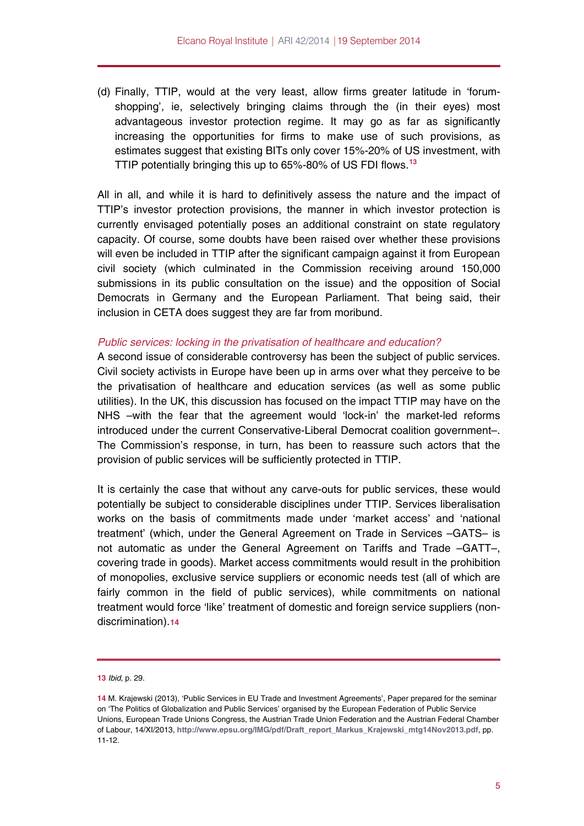(d) Finally, TTIP, would at the very least, allow firms greater latitude in 'forumshopping', ie, selectively bringing claims through the (in their eyes) most advantageous investor protection regime. It may go as far as significantly increasing the opportunities for firms to make use of such provisions, as estimates suggest that existing BITs only cover 15%-20% of US investment, with TTIP potentially bringing this up to 65%-80% of US FDI flows.**[13](#page-4-0)**

All in all, and while it is hard to definitively assess the nature and the impact of TTIP's investor protection provisions, the manner in which investor protection is currently envisaged potentially poses an additional constraint on state regulatory capacity. Of course, some doubts have been raised over whether these provisions will even be included in TTIP after the significant campaign against it from European civil society (which culminated in the Commission receiving around 150,000 submissions in its public consultation on the issue) and the opposition of Social Democrats in Germany and the European Parliament. That being said, their inclusion in CETA does suggest they are far from moribund.

#### *Public services: locking in the privatisation of healthcare and education?*

A second issue of considerable controversy has been the subject of public services. Civil society activists in Europe have been up in arms over what they perceive to be the privatisation of healthcare and education services (as well as some public utilities). In the UK, this discussion has focused on the impact TTIP may have on the NHS –with the fear that the agreement would 'lock-in' the market-led reforms introduced under the current Conservative-Liberal Democrat coalition government–. The Commission's response, in turn, has been to reassure such actors that the provision of public services will be sufficiently protected in TTIP.

It is certainly the case that without any carve-outs for public services, these would potentially be subject to considerable disciplines under TTIP. Services liberalisation works on the basis of commitments made under 'market access' and 'national treatment' (which, under the General Agreement on Trade in Services –GATS– is not automatic as under the General Agreement on Tariffs and Trade –GATT–, covering trade in goods). Market access commitments would result in the prohibition of monopolies, exclusive service suppliers or economic needs test (all of which are fairly common in the field of public services), while commitments on national treatment would force 'like' treatment of domestic and foreign service suppliers (nondiscrimination).**[14](#page-4-1)**

<span id="page-4-0"></span>**<sup>13</sup>** *Ibid*, p. 29.

<span id="page-4-1"></span>**<sup>14</sup>** M. Krajewski (2013), 'Public Services in EU Trade and Investment Agreements', Paper prepared for the seminar on 'The Politics of Globalization and Public Services' organised by the European Federation of Public Service Unions, European Trade Unions Congress, the Austrian Trade Union Federation and the Austrian Federal Chamber of Labour, 14/XI/2013, **[http://www.epsu.org/IMG/pdf/Draft\\_report\\_Markus\\_Krajewski\\_mtg14Nov2013.pdf](http://www.epsu.org/IMG/pdf/Draft_report_Markus_Krajewski_mtg14Nov2013.pdf)**, pp. 11-12.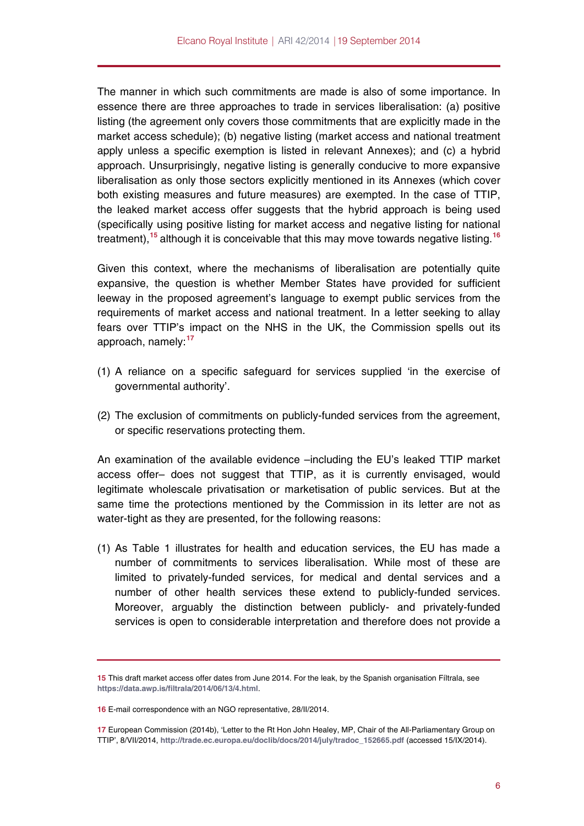The manner in which such commitments are made is also of some importance. In essence there are three approaches to trade in services liberalisation: (a) positive listing (the agreement only covers those commitments that are explicitly made in the market access schedule); (b) negative listing (market access and national treatment apply unless a specific exemption is listed in relevant Annexes); and (c) a hybrid approach. Unsurprisingly, negative listing is generally conducive to more expansive liberalisation as only those sectors explicitly mentioned in its Annexes (which cover both existing measures and future measures) are exempted. In the case of TTIP, the leaked market access offer suggests that the hybrid approach is being used (specifically using positive listing for market access and negative listing for national treatment),**[15](#page-5-0)** although it is conceivable that this may move towards negative listing.**[16](#page-5-1)**

Given this context, where the mechanisms of liberalisation are potentially quite expansive, the question is whether Member States have provided for sufficient leeway in the proposed agreement's language to exempt public services from the requirements of market access and national treatment. In a letter seeking to allay fears over TTIP's impact on the NHS in the UK, the Commission spells out its approach, namely:**[17](#page-5-2)**

- (1) A reliance on a specific safeguard for services supplied 'in the exercise of governmental authority'.
- (2) The exclusion of commitments on publicly-funded services from the agreement, or specific reservations protecting them.

An examination of the available evidence –including the EU's leaked TTIP market access offer– does not suggest that TTIP, as it is currently envisaged, would legitimate wholescale privatisation or marketisation of public services. But at the same time the protections mentioned by the Commission in its letter are not as water-tight as they are presented, for the following reasons:

(1) As Table 1 illustrates for health and education services, the EU has made a number of commitments to services liberalisation. While most of these are limited to privately-funded services, for medical and dental services and a number of other health services these extend to publicly-funded services. Moreover, arguably the distinction between publicly- and privately-funded services is open to considerable interpretation and therefore does not provide a

<span id="page-5-0"></span>**<sup>15</sup>** This draft market access offer dates from June 2014. For the leak, by the Spanish organisation Fíltrala, see **<https://data.awp.is/filtrala/2014/06/13/4.html>**.

<span id="page-5-1"></span>**<sup>16</sup>** E-mail correspondence with an NGO representative, 28/II/2014.

<span id="page-5-2"></span>**<sup>17</sup>** European Commission (2014b), 'Letter to the Rt Hon John Healey, MP, Chair of the All-Parliamentary Group on TTIP', 8/VII/2014, **[http://trade.ec.europa.eu/doclib/docs/2014/july/tradoc\\_152665.pdf](http://trade.ec.europa.eu/doclib/docs/2014/july/tradoc_152665.pdf)** (accessed 15/IX/2014).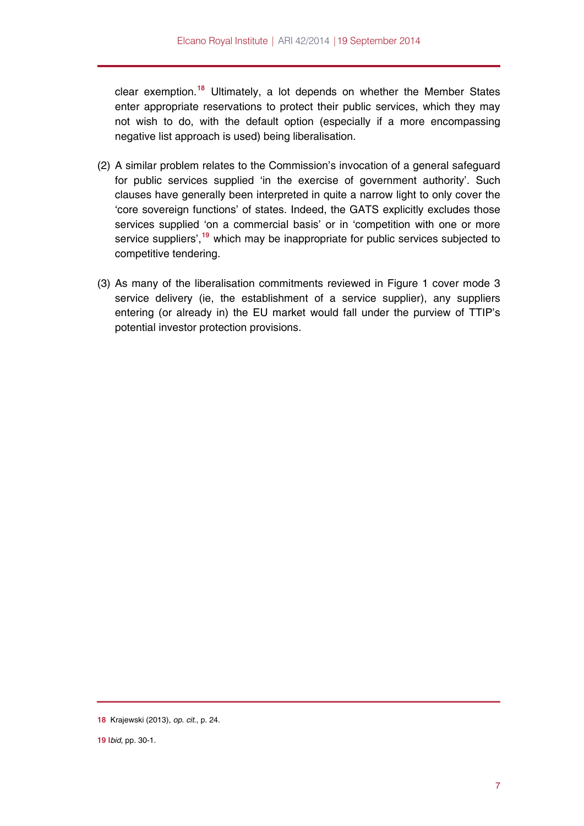clear exemption.**<sup>18</sup>** Ultimately, a lot depends on whether the Member States enter appropriate reservations to protect their public services, which they may not wish to do, with the default option (especially if a more encompassing negative list approach is used) being liberalisation.

- (2) A similar problem relates to the Commission's invocation of a general safeguard for public services supplied 'in the exercise of government authority'. Such clauses have generally been interpreted in quite a narrow light to only cover the 'core sovereign functions' of states. Indeed, the GATS explicitly excludes those services supplied 'on a commercial basis' or in 'competition with one or more service suppliers',**[19](#page-6-0)** which may be inappropriate for public services subjected to competitive tendering.
- (3) As many of the liberalisation commitments reviewed in Figure 1 cover mode 3 service delivery (ie, the establishment of a service supplier), any suppliers entering (or already in) the EU market would fall under the purview of TTIP's potential investor protection provisions.

**<sup>18</sup>** Krajewski (2013), *op. cit*., p. 24.

<span id="page-6-0"></span>**<sup>19</sup> I***bid*, pp. 30-1.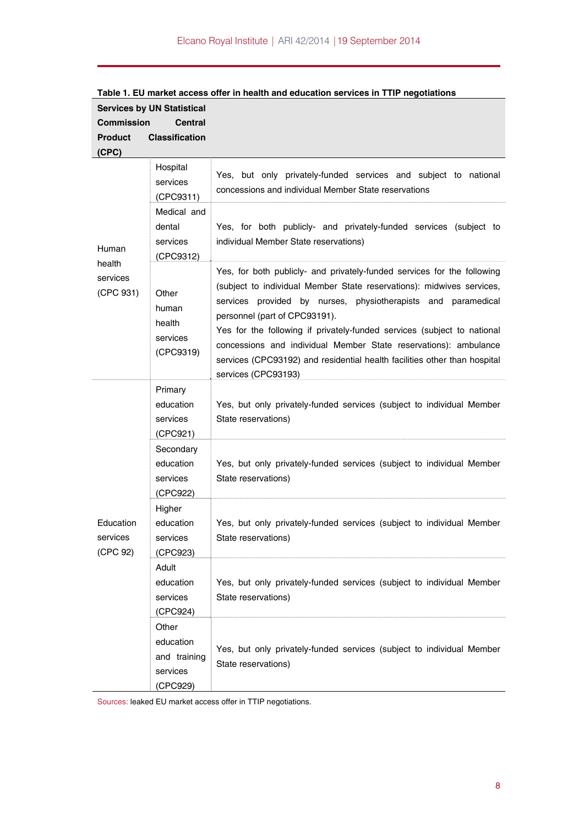| <b>Services by UN Statistical</b>        |                                                            |                                                                                                                                                                                                                                                                                                                                                                                                                                                                                                       |
|------------------------------------------|------------------------------------------------------------|-------------------------------------------------------------------------------------------------------------------------------------------------------------------------------------------------------------------------------------------------------------------------------------------------------------------------------------------------------------------------------------------------------------------------------------------------------------------------------------------------------|
| <b>Commission</b>                        | <b>Central</b>                                             |                                                                                                                                                                                                                                                                                                                                                                                                                                                                                                       |
| <b>Product</b>                           | <b>Classification</b>                                      |                                                                                                                                                                                                                                                                                                                                                                                                                                                                                                       |
| (CPC)                                    |                                                            |                                                                                                                                                                                                                                                                                                                                                                                                                                                                                                       |
| Human<br>health<br>services<br>(CPC 931) | Hospital<br>services<br>(CPC9311)                          | Yes, but only privately-funded services and subject to national<br>concessions and individual Member State reservations                                                                                                                                                                                                                                                                                                                                                                               |
|                                          | Medical and<br>dental<br>services<br>(CPC9312)             | Yes, for both publicly- and privately-funded services (subject to<br>individual Member State reservations)                                                                                                                                                                                                                                                                                                                                                                                            |
|                                          | Other<br>human<br>health<br>services<br>(CPC9319)          | Yes, for both publicly- and privately-funded services for the following<br>(subject to individual Member State reservations): midwives services,<br>services provided by nurses, physiotherapists and paramedical<br>personnel (part of CPC93191).<br>Yes for the following if privately-funded services (subject to national<br>concessions and individual Member State reservations): ambulance<br>services (CPC93192) and residential health facilities other than hospital<br>services (CPC93193) |
| Education<br>services<br>(CPC 92)        | Primary<br>education<br>services<br>(CPC921)               | Yes, but only privately-funded services (subject to individual Member<br>State reservations)                                                                                                                                                                                                                                                                                                                                                                                                          |
|                                          | Secondary<br>education<br>services<br>(CPC922)             | Yes, but only privately-funded services (subject to individual Member<br>State reservations)                                                                                                                                                                                                                                                                                                                                                                                                          |
|                                          | Higher<br>education<br>services<br>(CPC923)                | Yes, but only privately-funded services (subject to individual Member<br>State reservations)                                                                                                                                                                                                                                                                                                                                                                                                          |
|                                          | Adult<br>education<br>services<br>(CPC924)                 | Yes, but only privately-funded services (subject to individual Member<br>State reservations)                                                                                                                                                                                                                                                                                                                                                                                                          |
|                                          | Other<br>education<br>and training<br>services<br>(CPC929) | Yes, but only privately-funded services (subject to individual Member<br>State reservations)                                                                                                                                                                                                                                                                                                                                                                                                          |

| Table 1. EU market access offer in health and education services in TTIP negotiations |
|---------------------------------------------------------------------------------------|
|---------------------------------------------------------------------------------------|

Sources: leaked EU market access offer in TTIP negotiations.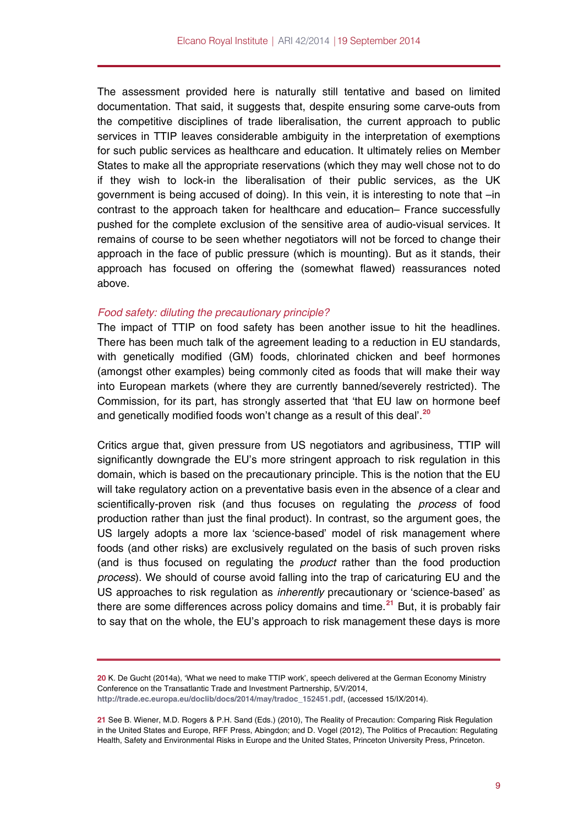The assessment provided here is naturally still tentative and based on limited documentation. That said, it suggests that, despite ensuring some carve-outs from the competitive disciplines of trade liberalisation, the current approach to public services in TTIP leaves considerable ambiguity in the interpretation of exemptions for such public services as healthcare and education. It ultimately relies on Member States to make all the appropriate reservations (which they may well chose not to do if they wish to lock-in the liberalisation of their public services, as the UK government is being accused of doing). In this vein, it is interesting to note that –in contrast to the approach taken for healthcare and education– France successfully pushed for the complete exclusion of the sensitive area of audio-visual services. It remains of course to be seen whether negotiators will not be forced to change their approach in the face of public pressure (which is mounting). But as it stands, their approach has focused on offering the (somewhat flawed) reassurances noted above.

#### *Food safety: diluting the precautionary principle?*

The impact of TTIP on food safety has been another issue to hit the headlines. There has been much talk of the agreement leading to a reduction in EU standards, with genetically modified (GM) foods, chlorinated chicken and beef hormones (amongst other examples) being commonly cited as foods that will make their way into European markets (where they are currently banned/severely restricted). The Commission, for its part, has strongly asserted that 'that EU law on hormone beef and genetically modified foods won't change as a result of this deal'.**[20](#page-8-0)** 

Critics argue that, given pressure from US negotiators and agribusiness, TTIP will significantly downgrade the EU's more stringent approach to risk regulation in this domain, which is based on the precautionary principle. This is the notion that the EU will take regulatory action on a preventative basis even in the absence of a clear and scientifically-proven risk (and thus focuses on regulating the *process* of food production rather than just the final product). In contrast, so the argument goes, the US largely adopts a more lax 'science-based' model of risk management where foods (and other risks) are exclusively regulated on the basis of such proven risks (and is thus focused on regulating the *product* rather than the food production *process*). We should of course avoid falling into the trap of caricaturing EU and the US approaches to risk regulation as *inherently* precautionary or 'science-based' as there are some differences across policy domains and time.**[21](#page-8-1)** But, it is probably fair to say that on the whole, the EU's approach to risk management these days is more

<span id="page-8-0"></span>**<sup>20</sup>** K. De Gucht (2014a), 'What we need to make TTIP work', speech delivered at the German Economy Ministry Conference on the Transatlantic Trade and Investment Partnership, 5/V/2014, **[http://trade.ec.europa.eu/doclib/docs/2014/may/tradoc\\_152451.pdf](http://trade.ec.europa.eu/doclib/docs/2014/may/tradoc_152451.pdf)**, (accessed 15/IX/2014).

<span id="page-8-1"></span>**<sup>21</sup>** See B. Wiener, M.D. Rogers & P.H. Sand (Eds.) (2010), The Reality of Precaution: Comparing Risk Regulation in the United States and Europe, RFF Press, Abingdon; and D. Vogel (2012), The Politics of Precaution: Regulating Health, Safety and Environmental Risks in Europe and the United States, Princeton University Press, Princeton.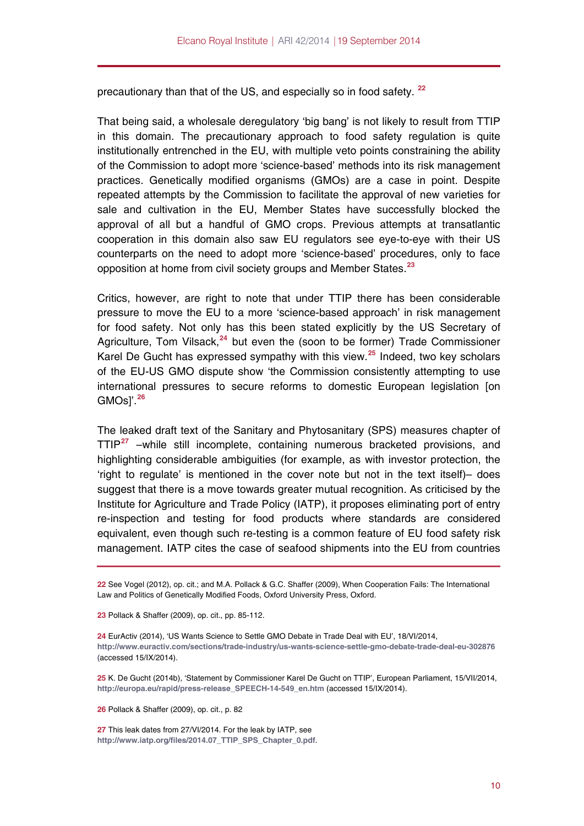precautionary than that of the US, and especially so in food safety. **[22](#page-9-0)** 

That being said, a wholesale deregulatory 'big bang' is not likely to result from TTIP in this domain. The precautionary approach to food safety regulation is quite institutionally entrenched in the EU, with multiple veto points constraining the ability of the Commission to adopt more 'science-based' methods into its risk management practices. Genetically modified organisms (GMOs) are a case in point. Despite repeated attempts by the Commission to facilitate the approval of new varieties for sale and cultivation in the EU, Member States have successfully blocked the approval of all but a handful of GMO crops. Previous attempts at transatlantic cooperation in this domain also saw EU regulators see eye-to-eye with their US counterparts on the need to adopt more 'science-based' procedures, only to face opposition at home from civil society groups and Member States.**[23](#page-9-1)**

Critics, however, are right to note that under TTIP there has been considerable pressure to move the EU to a more 'science-based approach' in risk management for food safety. Not only has this been stated explicitly by the US Secretary of Agriculture, Tom Vilsack,**[24](#page-9-2)** but even the (soon to be former) Trade Commissioner Karel De Gucht has expressed sympathy with this view.**[25](#page-9-3)** Indeed, two key scholars of the EU-US GMO dispute show 'the Commission consistently attempting to use international pressures to secure reforms to domestic European legislation [on GMOs]'.**[26](#page-9-4)** 

The leaked draft text of the Sanitary and Phytosanitary (SPS) measures chapter of TTIP**[27](#page-9-5)** –while still incomplete, containing numerous bracketed provisions, and highlighting considerable ambiguities (for example, as with investor protection, the 'right to regulate' is mentioned in the cover note but not in the text itself)– does suggest that there is a move towards greater mutual recognition. As criticised by the Institute for Agriculture and Trade Policy (IATP), it proposes eliminating port of entry re-inspection and testing for food products where standards are considered equivalent, even though such re-testing is a common feature of EU food safety risk management. IATP cites the case of seafood shipments into the EU from countries

<span id="page-9-1"></span>**23** Pollack & Shaffer (2009), op. cit., pp. 85-112.

<span id="page-9-2"></span>**24** EurActiv (2014), 'US Wants Science to Settle GMO Debate in Trade Deal with EU', 18/VI/2014, **<http://www.euractiv.com/sections/trade-industry/us-wants-science-settle-gmo-debate-trade-deal-eu-302876> (**accessed 15/IX/2014).

<span id="page-9-3"></span>**25** K. De Gucht (2014b), 'Statement by Commissioner Karel De Gucht on TTIP', European Parliament, 15/VII/2014, **[http://europa.eu/rapid/press-release\\_SPEECH-14-549\\_en.htm](http://europa.eu/rapid/press-release_SPEECH-14-549_en.htm)** (accessed 15/IX/2014).

<span id="page-9-4"></span>**26** Pollack & Shaffer (2009), op. cit., p. 82

<span id="page-9-5"></span>**27** This leak dates from 27/VI/2014. For the leak by IATP, see **[http://www.iatp.org/files/2014.07\\_TTIP\\_SPS\\_Chapter\\_0.pdf](http://www.iatp.org/files/2014.07_TTIP_SPS_Chapter_0.pdf)**.

<span id="page-9-0"></span>**<sup>22</sup>** See Vogel (2012), op. cit.; and M.A. Pollack & G.C. Shaffer (2009), When Cooperation Fails: The International Law and Politics of Genetically Modified Foods, Oxford University Press, Oxford.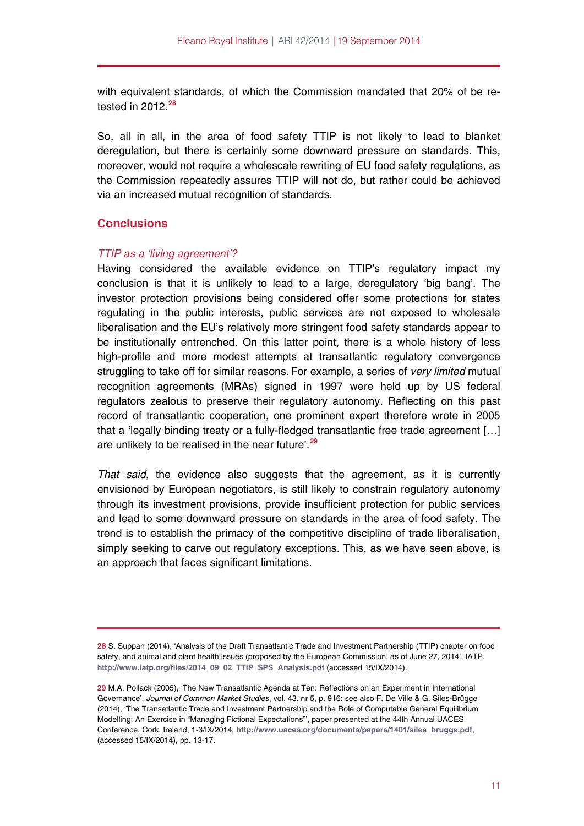with equivalent standards, of which the Commission mandated that 20% of be retested in 2012.**[28](#page-10-0)**

So, all in all, in the area of food safety TTIP is not likely to lead to blanket deregulation, but there is certainly some downward pressure on standards. This, moreover, would not require a wholescale rewriting of EU food safety regulations, as the Commission repeatedly assures TTIP will not do, but rather could be achieved via an increased mutual recognition of standards.

## **Conclusions**

### *TTIP as a 'living agreement'?*

Having considered the available evidence on TTIP's regulatory impact my conclusion is that it is unlikely to lead to a large, deregulatory 'big bang'. The investor protection provisions being considered offer some protections for states regulating in the public interests, public services are not exposed to wholesale liberalisation and the EU's relatively more stringent food safety standards appear to be institutionally entrenched. On this latter point, there is a whole history of less high-profile and more modest attempts at transatlantic regulatory convergence struggling to take off for similar reasons. For example, a series of *very limited* mutual recognition agreements (MRAs) signed in 1997 were held up by US federal regulators zealous to preserve their regulatory autonomy. Reflecting on this past record of transatlantic cooperation, one prominent expert therefore wrote in 2005 that a 'legally binding treaty or a fully-fledged transatlantic free trade agreement […] are unlikely to be realised in the near future'.**[29](#page-10-1)**

*That said*, the evidence also suggests that the agreement, as it is currently envisioned by European negotiators, is still likely to constrain regulatory autonomy through its investment provisions, provide insufficient protection for public services and lead to some downward pressure on standards in the area of food safety. The trend is to establish the primacy of the competitive discipline of trade liberalisation, simply seeking to carve out regulatory exceptions. This, as we have seen above, is an approach that faces significant limitations.

<span id="page-10-0"></span>**<sup>28</sup>** S. Suppan (2014), 'Analysis of the Draft Transatlantic Trade and Investment Partnership (TTIP) chapter on food safety, and animal and plant health issues (proposed by the European Commission, as of June 27, 2014', IATP, **[http://www.iatp.org/files/2014\\_09\\_02\\_TTIP\\_SPS\\_Analysis.pdf](http://www.iatp.org/files/2014_09_02_TTIP_SPS_Analysis.pdf)** (accessed 15/IX/2014).

<span id="page-10-1"></span>**<sup>29</sup>** M.A. Pollack (2005), 'The New Transatlantic Agenda at Ten: Reflections on an Experiment in International Governance', *Journal of Common Market Studies*, vol. 43, nr 5, p. 916; see also F. De Ville & G. Siles-Brügge (2014), 'The Transatlantic Trade and Investment Partnership and the Role of Computable General Equilibrium Modelling: An Exercise in "Managing Fictional Expectations"', paper presented at the 44th Annual UACES Conference, Cork, Ireland, 1-3/IX/2014, **[http://www.uaces.org/documents/papers/1401/siles\\_brugge.pdf](http://www.uaces.org/documents/papers/1401/siles_brugge.pdf)**, (accessed 15/IX/2014), pp. 13-17.